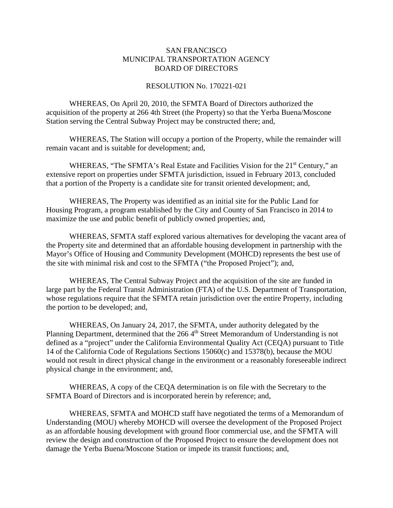## SAN FRANCISCO MUNICIPAL TRANSPORTATION AGENCY BOARD OF DIRECTORS

## RESOLUTION No. 170221-021

WHEREAS, On April 20, 2010, the SFMTA Board of Directors authorized the acquisition of the property at 266 4th Street (the Property) so that the Yerba Buena/Moscone Station serving the Central Subway Project may be constructed there; and,

WHEREAS, The Station will occupy a portion of the Property, while the remainder will remain vacant and is suitable for development; and,

WHEREAS, "The SFMTA's Real Estate and Facilities Vision for the 21<sup>st</sup> Century," an extensive report on properties under SFMTA jurisdiction, issued in February 2013, concluded that a portion of the Property is a candidate site for transit oriented development; and,

WHEREAS, The Property was identified as an initial site for the Public Land for Housing Program, a program established by the City and County of San Francisco in 2014 to maximize the use and public benefit of publicly owned properties; and,

WHEREAS, SFMTA staff explored various alternatives for developing the vacant area of the Property site and determined that an affordable housing development in partnership with the Mayor's Office of Housing and Community Development (MOHCD) represents the best use of the site with minimal risk and cost to the SFMTA ("the Proposed Project"); and,

WHEREAS, The Central Subway Project and the acquisition of the site are funded in large part by the Federal Transit Administration (FTA) of the U.S. Department of Transportation, whose regulations require that the SFMTA retain jurisdiction over the entire Property, including the portion to be developed; and,

WHEREAS, On January 24, 2017, the SFMTA, under authority delegated by the Planning Department, determined that the 266 4<sup>th</sup> Street Memorandum of Understanding is not defined as a "project" under the California Environmental Quality Act (CEQA) pursuant to Title 14 of the California Code of Regulations Sections 15060(c) and 15378(b), because the MOU would not result in direct physical change in the environment or a reasonably foreseeable indirect physical change in the environment; and,

WHEREAS, A copy of the CEQA determination is on file with the Secretary to the SFMTA Board of Directors and is incorporated herein by reference; and,

WHEREAS, SFMTA and MOHCD staff have negotiated the terms of a Memorandum of Understanding (MOU) whereby MOHCD will oversee the development of the Proposed Project as an affordable housing development with ground floor commercial use, and the SFMTA will review the design and construction of the Proposed Project to ensure the development does not damage the Yerba Buena/Moscone Station or impede its transit functions; and,